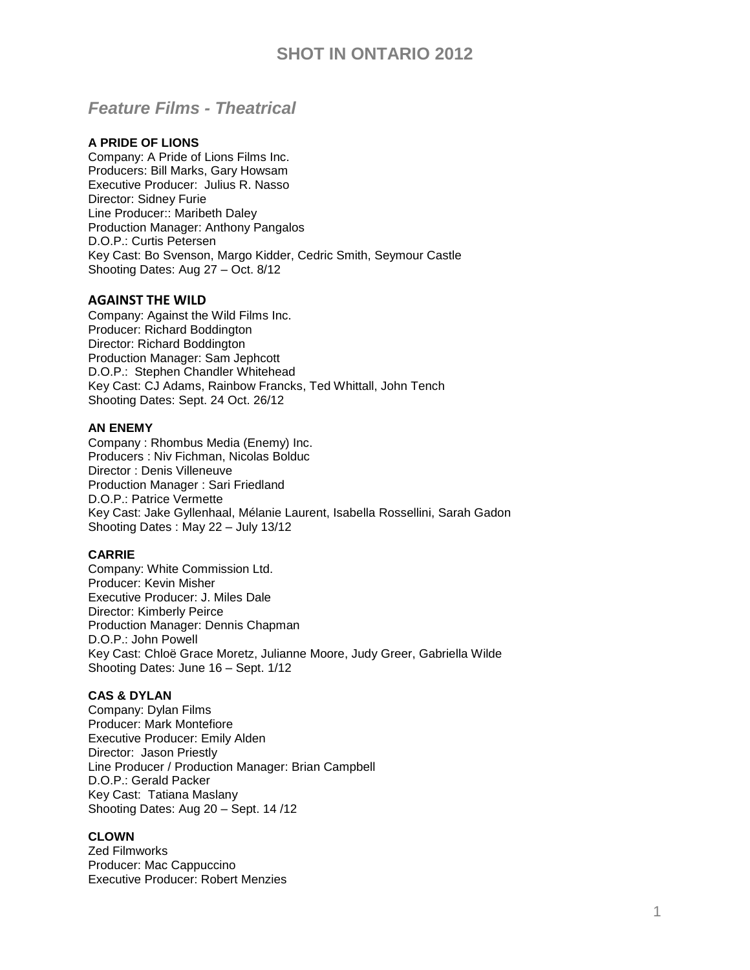## *Feature Films - Theatrical*

## **A PRIDE OF LIONS**

Company: A Pride of Lions Films Inc. Producers: Bill Marks, Gary Howsam Executive Producer: [Julius R. Nasso](http://pro.imdb.com/name/nm0621993/) Director: Sidney Furie Line Producer:: Maribeth Daley Production Manager: Anthony Pangalos D.O.P.: Curtis Petersen Key Cast: Bo Svenson, Margo Kidder, Cedric Smith, Seymour Castle Shooting Dates: Aug 27 – Oct. 8/12

## **AGAINST THE WILD**

Company: Against the Wild Films Inc. Producer: Richard Boddington Director: Richard Boddington Production Manager: Sam Jephcott D.O.P.: [Stephen Chandler Whitehead](http://pro.imdb.com/name/nm2660194/) Key Cast: [CJ Adams,](http://pro.imdb.com/name/nm2640264/) [Rainbow Francks,](http://pro.imdb.com/name/nm0290478/) [Ted Whittall,](http://pro.imdb.com/name/nm0926471/) [John Tench](http://pro.imdb.com/name/nm0854900/) Shooting Dates: Sept. 24 Oct. 26/12

### **AN ENEMY**

Company : Rhombus Media (Enemy) Inc. Producers : Niv Fichman, [Nicolas Bolduc](http://pro.imdb.com/name/nm0092839/) Director : Denis Villeneuve Production Manager : Sari Friedland D.O.P.: [Patrice Vermette](http://pro.imdb.com/name/nm0894411/) Key Cast: [Jake Gyllenhaal,](http://pro.imdb.com/name/nm0350453/) [Mélanie Laurent,](http://pro.imdb.com/name/nm0491259/) [Isabella Rossellini,](http://pro.imdb.com/name/nm0000618/) [Sarah Gadon](http://pro.imdb.com/name/nm0300589/) Shooting Dates : May 22 – July 13/12

### **CARRIE**

Company: White Commission Ltd. Producer: Kevin Misher Executive Producer: J. Miles Dale Director: Kimberly Peirce Production Manager: Dennis Chapman D.O.P.: John Powell Key Cast: [Chloë Grace Moretz,](http://pro.imdb.com/name/nm1631269/) [Julianne Moore,](http://pro.imdb.com/name/nm0000194/) [Judy Greer,](http://pro.imdb.com/name/nm0339460/) [Gabriella Wilde](http://pro.imdb.com/name/nm3538539/) Shooting Dates: June 16 – Sept. 1/12

### **CAS & DYLAN**

Company: Dylan Films Producer: Mark Montefiore Executive Producer: [Emily Alden](http://pro.imdb.com/name/nm1602587/) Director: Jason Priestly Line Producer / Production Manager: Brian Campbell D.O.P.: Gerald Packer Key Cast: [Tatiana Maslany](http://pro.imdb.com/name/nm1137209/) Shooting Dates: Aug 20 – Sept. 14 /12

## **CLOWN**

Zed Filmworks Producer: Mac Cappuccino Executive Producer: Robert Menzies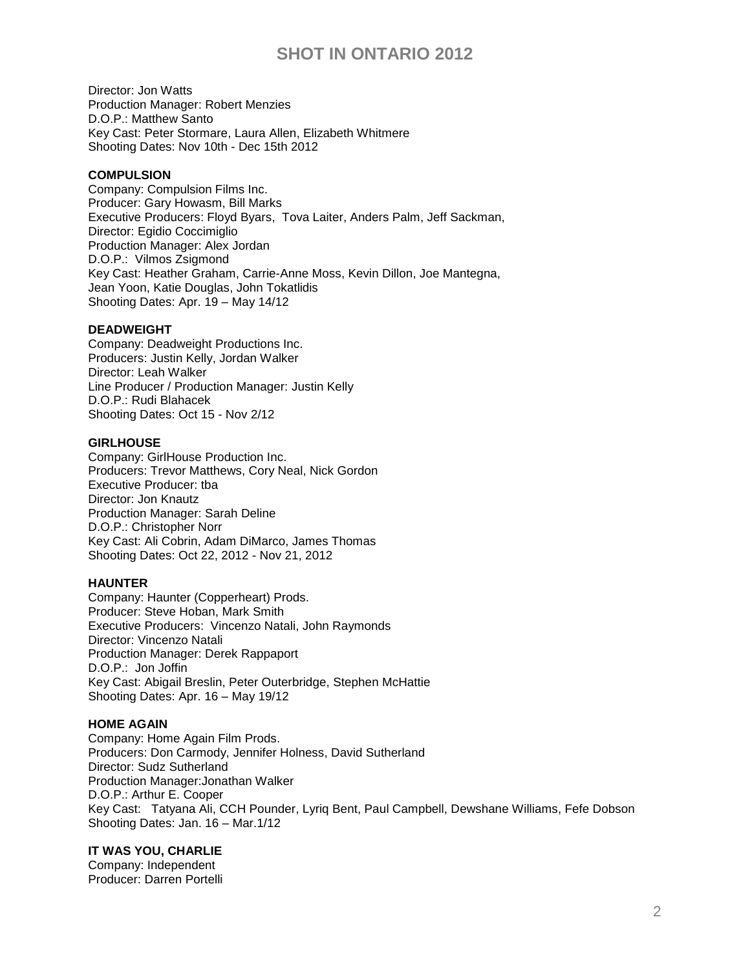Director: Jon Watts Production Manager: Robert Menzies D.O.P.: Matthew Santo Key Cast: [Peter Stormare,](http://www.imdb.com/name/nm0001780/) [Laura Allen,](http://www.imdb.com/name/nm0020751/) [Elizabeth Whitmere](http://www.imdb.com/name/nm1176867/) Shooting Dates: Nov 10th - Dec 15th 2012

## **COMPULSION**

Company: Compulsion Films Inc. Producer: Gary Howasm, Bill Marks Executive Producers: [Floyd Byars,](http://pro.imdb.com/name/nm0125698/) [Tova Laiter,](http://pro.imdb.com/name/nm0482019/) [Anders Palm,](http://pro.imdb.com/name/nm5045807/) [Jeff Sackman,](http://pro.imdb.com/name/nm0755278/) Director: Egidio Coccimiglio Production Manager: Alex Jordan D.O.P.: [Vilmos Zsigmond](http://pro.imdb.com/name/nm0005936/) Key Cast: [Heather Graham,](http://pro.imdb.com/name/nm0001287/) [Carrie-Anne Moss,](http://pro.imdb.com/name/nm0005251/) [Kevin Dillon,](http://pro.imdb.com/name/nm0001143/) [Joe Mantegna,](http://pro.imdb.com/name/nm0001505/) [Jean Yoon,](http://pro.imdb.com/name/nm1050153/) [Katie Douglas,](http://pro.imdb.com/name/nm3353780/) [John Tokatlidis](http://pro.imdb.com/name/nm1778986/) Shooting Dates: Apr. 19 – May 14/12

## **DEADWEIGHT**

Company: Deadweight Productions Inc. Producers: Justin Kelly, Jordan Walker Director: Leah Walker Line Producer / Production Manager: Justin Kelly D.O.P.: Rudi Blahacek Shooting Dates: Oct 15 - Nov 2/12

### **GIRLHOUSE**

Company: GirlHouse Production Inc. Producers: Trevor Matthews, Cory Neal, Nick Gordon Executive Producer: tba Director: Jon Knautz Production Manager: Sarah Deline D.O.P.: Christopher Norr Key Cast: Ali Cobrin, Adam DiMarco, James Thomas Shooting Dates: Oct 22, 2012 - Nov 21, 2012

### **HAUNTER**

Company: Haunter (Copperheart) Prods. Producer: Steve Hoban, Mark Smith Executive Producers: [Vincenzo Natali,](http://pro.imdb.com/name/nm0622112/) [John Raymonds](http://pro.imdb.com/name/nm4184021/) Director: Vincenzo Natali Production Manager: Derek Rappaport D.O.P.: [Jon Joffin](http://pro.imdb.com/name/nm0423632/) Key Cast: [Abigail Breslin,](http://pro.imdb.com/name/nm1113550/) [Peter Outerbridge,](http://pro.imdb.com/name/nm0653660/) [Stephen McHattie](http://pro.imdb.com/name/nm0570385/) Shooting Dates: Apr. 16 – May 19/12

### **HOME AGAIN**

Company: Home Again Film Prods. Producers: Don Carmody, Jennifer Holness, David Sutherland Director: Sudz Sutherland Production Manager:Jonathan Walker D.O.P.: [Arthur E. Cooper](http://pro.imdb.com/name/nm0177861/) Key Cast: [Tatyana Ali,](http://pro.imdb.com/name/nm0004700/) [CCH Pounder,](http://pro.imdb.com/name/nm0001634/) [Lyriq Bent,](http://pro.imdb.com/name/nm0072713/) [Paul Campbell,](http://pro.imdb.com/name/nm0132773/) [Dewshane Williams,](http://pro.imdb.com/name/nm3369215/) [Fefe Dobson](http://pro.imdb.com/name/nm1582158/) Shooting Dates: Jan. 16 – Mar.1/12

### **IT WAS YOU, CHARLIE**

Company: Independent Producer: Darren Portelli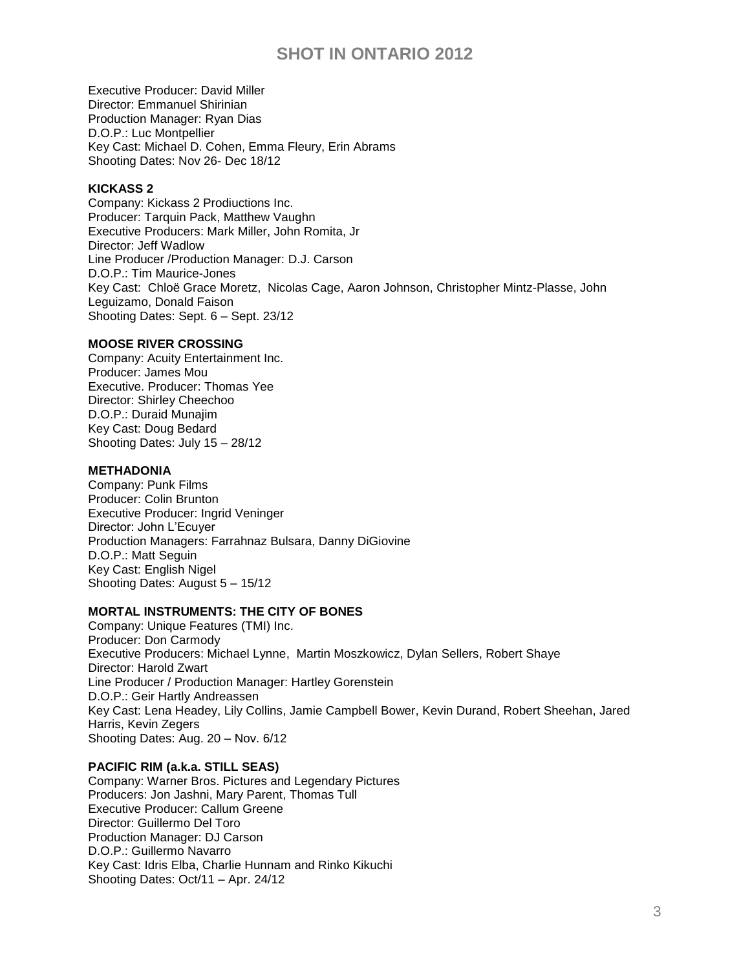Executive Producer: David Miller Director: Emmanuel Shirinian Production Manager: Ryan Dias D.O.P.: Luc Montpellier Key Cast: Michael D. Cohen, Emma Fleury, Erin Abrams Shooting Dates: Nov 26- Dec 18/12

## **KICKASS 2**

Company: Kickass 2 Prodiuctions Inc. Producer: Tarquin Pack, Matthew Vaughn Executive Producers: Mark Miller, John Romita, Jr Director: Jeff Wadlow Line Producer /Production Manager: D.J. Carson D.O.P.: Tim Maurice-Jones Key Cast: [Chloë Grace Moretz,](http://pro.imdb.com/name/nm1631269/) [Nicolas Cage,](http://pro.imdb.com/name/nm0000115/) [Aaron Johnson,](http://pro.imdb.com/name/nm1093951/) [Christopher Mintz-Plasse,](http://pro.imdb.com/name/nm2395586/) [John](http://pro.imdb.com/name/nm0000491/)  [Leguizamo,](http://pro.imdb.com/name/nm0000491/) [Donald Faison](http://pro.imdb.com/name/nm0265668/) Shooting Dates: Sept. 6 – Sept. 23/12

### **MOOSE RIVER CROSSING**

Company: Acuity Entertainment Inc. Producer: James Mou Executive. Producer: Thomas Yee Director: Shirley Cheechoo D.O.P.: [Duraid Munajim](http://pro.imdb.com/name/nm1015312/) Key Cast: Doug Bedard Shooting Dates: July 15 – 28/12

## **METHADONIA**

Company: Punk Films Producer: Colin Brunton Executive Producer: Ingrid Veninger Director: John L'Ecuyer Production Managers: Farrahnaz Bulsara, Danny DiGiovine D.O.P.: Matt Seguin Key Cast: English Nigel Shooting Dates: August 5 – 15/12

### **MORTAL INSTRUMENTS: THE CITY OF BONES**

Company: Unique Features (TMI) Inc. Producer: Don Carmody Executive Producers: [Michael Lynne,](http://www.imdb.com/name/nm1088153/) [Martin Moszkowicz,](http://www.imdb.com/name/nm0609265/) [Dylan Sellers,](http://www.imdb.com/name/nm0783346/) [Robert Shaye](http://www.imdb.com/name/nm0790144/) Director: Harold Zwart Line Producer / Production Manager: Hartley Gorenstein D.O.P.: [Geir Hartly Andreassen](http://pro.imdb.com/name/nm0366911/) Key Cast: [Lena Headey,](http://pro.imdb.com/name/nm0372176/) [Lily Collins,](http://pro.imdb.com/name/nm2934314/) [Jamie Campbell Bower,](http://pro.imdb.com/name/nm2570429/) [Kevin Durand,](http://pro.imdb.com/name/nm0243806/) [Robert Sheehan,](http://pro.imdb.com/name/nm1588066/) [Jared](http://pro.imdb.com/name/nm0364813/)  [Harris,](http://pro.imdb.com/name/nm0364813/) [Kevin Zegers](http://pro.imdb.com/name/nm0954225/) Shooting Dates: Aug. 20 – Nov. 6/12

## **PACIFIC RIM (a.k.a. STILL SEAS)**

Company: Warner Bros. Pictures and Legendary Pictures Producers: [Jon Jashni,](http://pro.imdb.com/name/nm0419169/) [Mary Parent,](http://pro.imdb.com/name/nm0661289/) [Thomas Tull](http://pro.imdb.com/name/nm2100078/) Executive Producer: Callum Greene Director: Guillermo Del Toro Production Manager: DJ Carson D.O.P.: [Guillermo Navarro](http://pro.imdb.com/name/nm0622897/) Key Cast: [Idris Elba,](http://www.imdb.com/name/nm0252961/) [Charlie Hunnam](http://www.imdb.com/name/nm0402271/) and [Rinko Kikuchi](http://www.imdb.com/name/nm0452860/) Shooting Dates: Oct/11 – Apr. 24/12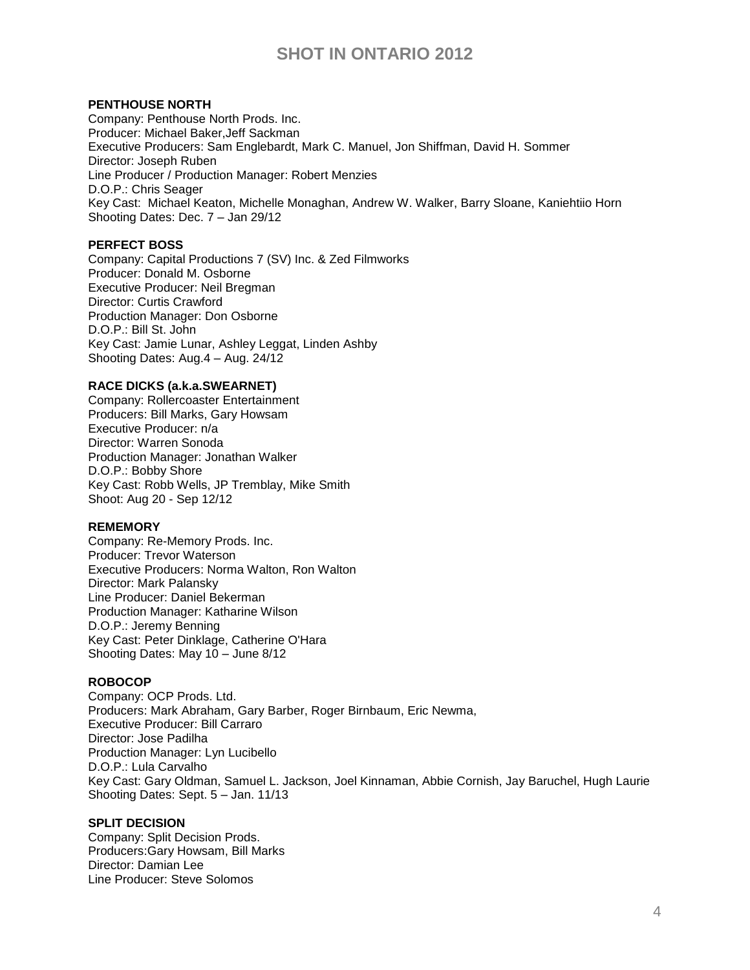## **PENTHOUSE NORTH**

Company: Penthouse North Prods. Inc. Producer: Michael Baker,Jeff Sackman Executive Producers: [Sam Englebardt,](http://pro.imdb.com/name/nm1583132/) [Mark C. Manuel,](http://pro.imdb.com/name/nm4808284/) [Jon Shiffman,](http://pro.imdb.com/name/nm0793306/) [David H. Sommer](http://pro.imdb.com/name/nm5040118/) Director: Joseph Ruben Line Producer / Production Manager: Robert Menzies D.O.P.: [Chris Seager](http://pro.imdb.com/name/nm0003372/) Key Cast: [Michael Keaton,](http://pro.imdb.com/name/nm0000474/) [Michelle Monaghan,](http://pro.imdb.com/name/nm1157358/) [Andrew W. Walker,](http://pro.imdb.com/name/nm1027286/) [Barry Sloane,](http://pro.imdb.com/name/nm1289351/) [Kaniehtiio Horn](http://pro.imdb.com/name/nm1503416/) Shooting Dates: Dec. 7 – Jan 29/12

## **PERFECT BOSS**

Company: Capital Productions 7 (SV) Inc. & Zed Filmworks Producer: Donald M. Osborne Executive Producer: Neil Bregman Director: Curtis Crawford Production Manager: Don Osborne D.O.P.: Bill St. John Key Cast: Jamie Lunar, Ashley Leggat, Linden Ashby Shooting Dates: Aug.4 – Aug. 24/12

### **RACE DICKS (a.k.a.SWEARNET)**

Company: Rollercoaster Entertainment Producers: Bill Marks, Gary Howsam Executive Producer: n/a Director: Warren Sonoda Production Manager: Jonathan Walker D.O.P.: Bobby Shore Key Cast: Robb Wells, JP Tremblay, Mike Smith Shoot: Aug 20 - Sep 12/12

### **REMEMORY**

Company: Re-Memory Prods. Inc. Producer: Trevor Waterson Executive Producers: Norma Walton, Ron Walton Director: Mark Palansky Line Producer: Daniel Bekerman Production Manager: Katharine Wilson D.O.P.: [Jeremy Benning](http://pro.imdb.com/name/nm0004150/) Key Cast: [Peter Dinklage,](http://pro.imdb.com/name/nm0227759/) [Catherine O'Hara](http://pro.imdb.com/name/nm0001573/) Shooting Dates: May 10 – June 8/12

### **ROBOCOP**

Company: OCP Prods. Ltd. Producers: Mark Abraham, Gary Barber, Roger Birnbaum, Eric Newma, Executive Producer: Bill Carraro Director: Jose Padilha Production Manager: Lyn Lucibello D.O.P.: Lula Carvalho Key Cast: Gary Oldman, Samuel L. Jackson, Joel Kinnaman, Abbie Cornish, Jay Baruchel, Hugh Laurie Shooting Dates: Sept. 5 – Jan. 11/13

## **SPLIT DECISION**

Company: Split Decision Prods. Producers:Gary Howsam, Bill Marks Director: Damian Lee Line Producer: Steve Solomos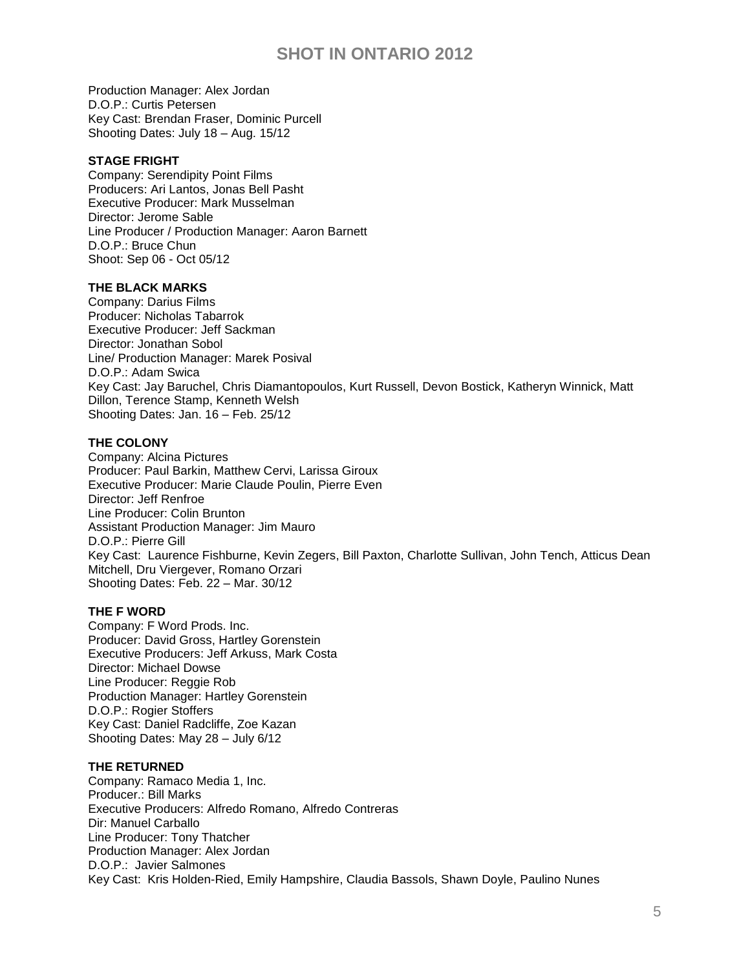Production Manager: Alex Jordan D.O.P.: Curtis Petersen Key Cast: Brendan Fraser, Dominic Purcell Shooting Dates: July 18 – Aug. 15/12

### **STAGE FRIGHT**

Company: Serendipity Point Films Producers: Ari Lantos, Jonas Bell Pasht Executive Producer: Mark Musselman Director: Jerome Sable Line Producer / Production Manager: Aaron Barnett D.O.P.: Bruce Chun Shoot: Sep 06 - Oct 05/12

#### **THE BLACK MARKS**

Company: Darius Films Producer: Nicholas Tabarrok Executive Producer: [Jeff Sackman](http://pro.imdb.com/name/nm0755278/) Director: Jonathan Sobol Line/ Production Manager: Marek Posival D.O.P.: [Adam Swica](http://pro.imdb.com/name/nm0842514/) Key Cast: [Jay Baruchel,](http://pro.imdb.com/name/nm0059431/) [Chris Diamantopoulos,](http://pro.imdb.com/name/nm0224565/) [Kurt Russell,](http://pro.imdb.com/name/nm0000621/) [Devon Bostick,](http://pro.imdb.com/name/nm1256602/) [Katheryn Winnick,](http://pro.imdb.com/name/nm0935395/) [Matt](http://pro.imdb.com/name/nm0000369/)  [Dillon,](http://pro.imdb.com/name/nm0000369/) [Terence Stamp,](http://pro.imdb.com/name/nm0000654/) [Kenneth Welsh](http://pro.imdb.com/name/nm0920564/) Shooting Dates: Jan. 16 – Feb. 25/12

#### **THE COLONY**

Company: Alcina Pictures Producer: Paul Barkin, [Matthew Cervi,](http://www.imdb.com/name/nm1013747/) Larissa Giroux Executive Producer: Marie Claude Poulin, Pierre Even Director: Jeff Renfroe Line Producer: Colin Brunton Assistant Production Manager: Jim Mauro D.O.P.: [Pierre Gill](http://pro.imdb.com/name/nm0005602/) Key Cast: [Laurence Fishburne,](http://pro.imdb.com/name/nm0000401/) [Kevin Zegers,](http://pro.imdb.com/name/nm0954225/) [Bill Paxton,](http://pro.imdb.com/name/nm0000200/) [Charlotte Sullivan,](http://pro.imdb.com/name/nm0838000/) [John Tench,](http://pro.imdb.com/name/nm0854900/) [Atticus Dean](http://pro.imdb.com/name/nm3620184/)  [Mitchell,](http://pro.imdb.com/name/nm3620184/) [Dru Viergever,](http://pro.imdb.com/name/nm1617355/) [Romano Orzari](http://pro.imdb.com/name/nm0651451/) Shooting Dates: Feb. 22 – Mar. 30/12

#### **THE F WORD**

Company: F Word Prods. Inc. Producer: David Gross, Hartley Gorenstein Executive Producers: [Jeff Arkuss,](http://pro.imdb.com/name/nm2036885/) [Mark Costa](http://pro.imdb.com/name/nm1984119/) Director: Michael Dowse Line Producer: Reggie Rob Production Manager: Hartley Gorenstein D.O.P.: [Rogier Stoffers](http://pro.imdb.com/name/nm0831114/) Key Cast: [Daniel Radcliffe,](http://pro.imdb.com/name/nm0705356/) [Zoe Kazan](http://pro.imdb.com/name/nm1443740/) Shooting Dates: May 28 – July 6/12

#### **THE RETURNED**

Company: Ramaco Media 1, Inc. Producer.: Bill Marks Executive Producers: Alfredo Romano, Alfredo Contreras Dir: Manuel Carballo Line Producer: Tony Thatcher Production Manager: Alex Jordan D.O.P.: Javier Salmones Key Cast: [Kris Holden-Ried,](http://pro.imdb.com/name/nm0390285/) [Emily Hampshire,](http://pro.imdb.com/name/nm0358922/) [Claudia Bassols,](http://pro.imdb.com/name/nm2218213/) [Shawn Doyle,](http://pro.imdb.com/name/nm0236495/) [Paulino Nunes](http://pro.imdb.com/name/nm0637992/)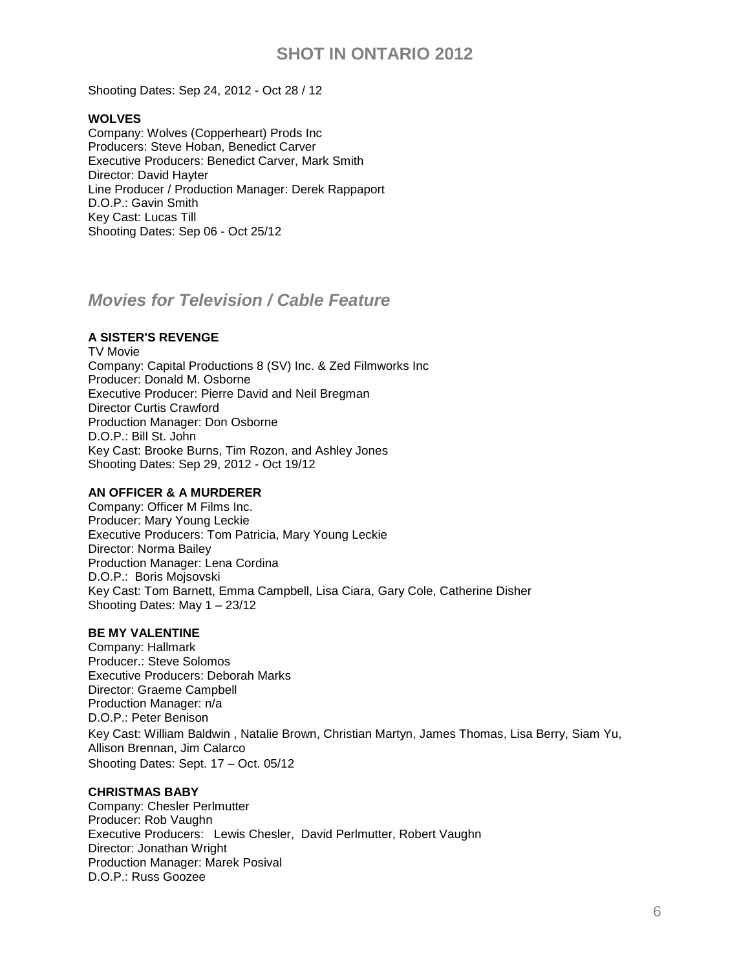Shooting Dates: Sep 24, 2012 - Oct 28 / 12

## **WOLVES**

Company: Wolves (Copperheart) Prods Inc Producers: Steve Hoban, Benedict Carver Executive Producers: Benedict Carver, Mark Smith Director: David Hayter Line Producer / Production Manager: Derek Rappaport D.O.P.: Gavin Smith Key Cast: Lucas Till Shooting Dates: Sep 06 - Oct 25/12

# *Movies for Television / Cable Feature*

## **A SISTER'S REVENGE**

TV Movie Company: Capital Productions 8 (SV) Inc. & Zed Filmworks Inc Producer: Donald M. Osborne Executive Producer: Pierre David and Neil Bregman Director Curtis Crawford Production Manager: Don Osborne D.O.P.: Bill St. John Key Cast: Brooke Burns, Tim Rozon, and Ashley Jones Shooting Dates: Sep 29, 2012 - Oct 19/12

## **AN OFFICER & A MURDERER**

Company: Officer M Films Inc. Producer: Mary Young Leckie Executive Producers: Tom Patricia, Mary Young Leckie Director: Norma Bailey Production Manager: Lena Cordina D.O.P.: [Boris Mojsovski](http://pro.imdb.com/name/nm0596285/) Key Cast: Tom Barnett, Emma Campbell, Lisa Ciara, Gary Cole, Catherine Disher Shooting Dates: May 1 – 23/12

### **BE MY VALENTINE**

Company: Hallmark Producer.: Steve Solomos Executive Producers: Deborah Marks Director: Graeme Campbell Production Manager: n/a D.O.P.: Peter Benison Key Cast: [William Baldwin](http://pro.imdb.com/name/nm0000287/) , [Natalie Brown,](http://pro.imdb.com/name/nm0535019/) [Christian Martyn,](http://pro.imdb.com/name/nm3299784/) [James Thomas,](http://pro.imdb.com/name/nm0858975/) [Lisa Berry,](http://pro.imdb.com/name/nm2484864/) [Siam Yu,](http://pro.imdb.com/name/nm3071852/) [Allison Brennan,](http://pro.imdb.com/name/nm2803252/) [Jim Calarco](http://pro.imdb.com/name/nm1410216/) Shooting Dates: Sept. 17 – Oct. 05/12

### **CHRISTMAS BABY**

Company: Chesler Perlmutter Producer: Rob Vaughn Executive Producers: [Lewis Chesler,](http://pro.imdb.com/name/nm0156207/) [David Perlmutter,](http://pro.imdb.com/name/nm0674244/) [Robert Vaughn](http://pro.imdb.com/name/nm1034909/) Director: Jonathan Wright Production Manager: Marek Posival D.O.P.: [Russ Goozee](http://pro.imdb.com/name/nm0329695/)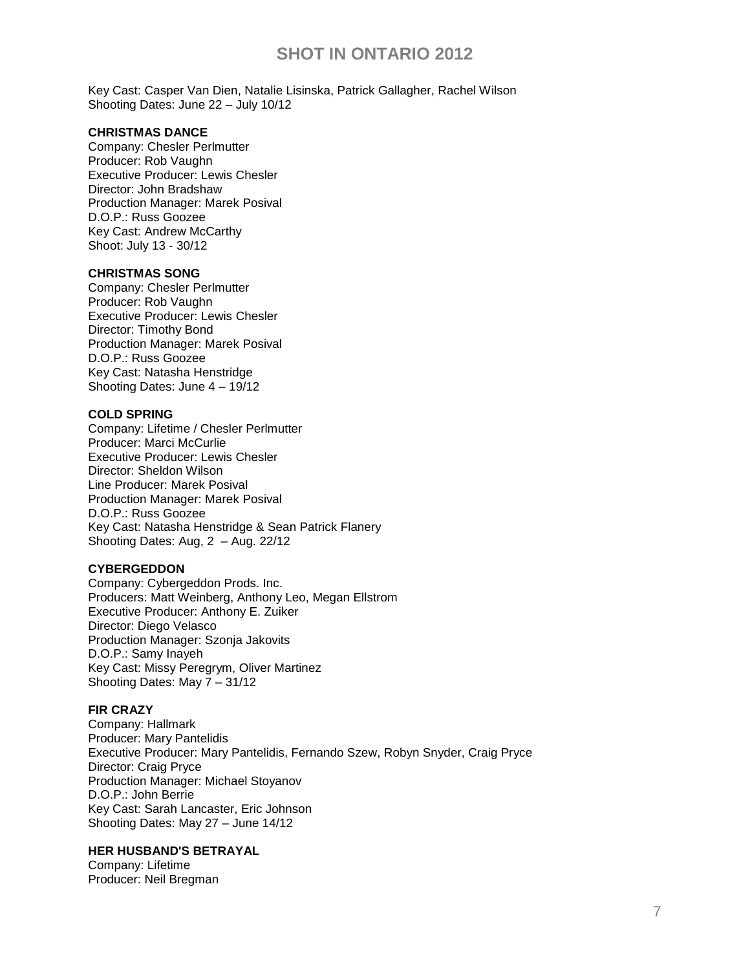Key Cast: [Casper Van Dien,](http://pro.imdb.com/name/nm0000680/) [Natalie Lisinska,](http://pro.imdb.com/name/nm1990511/) [Patrick Gallagher,](http://pro.imdb.com/name/nm0302466/) [Rachel Wilson](http://pro.imdb.com/name/nm0933987/) Shooting Dates: June 22 – July 10/12

#### **CHRISTMAS DANCE**

Company: Chesler Perlmutter Producer: Rob Vaughn Executive Producer: Lewis Chesler Director: John Bradshaw Production Manager: Marek Posival D.O.P.: Russ Goozee Key Cast: Andrew McCarthy Shoot: July 13 - 30/12

#### **CHRISTMAS SONG**

Company: Chesler Perlmutter Producer: Rob Vaughn Executive Producer: Lewis Chesler Director: Timothy Bond Production Manager: Marek Posival D.O.P.: Russ Goozee Key Cast: Natasha Henstridge Shooting Dates: June 4 – 19/12

### **COLD SPRING**

Company: Lifetime / Chesler Perlmutter Producer: Marci McCurlie Executive Producer: Lewis Chesler Director: Sheldon Wilson Line Producer: Marek Posival Production Manager: Marek Posival D.O.P.: Russ Goozee Key Cast: Natasha Henstridge & Sean Patrick Flanery Shooting Dates: Aug, 2 – Aug. 22/12

## **CYBERGEDDON**

Company: Cybergeddon Prods. Inc. Producers: Matt Weinberg, Anthony Leo, Megan Ellstrom Executive Producer: Anthony E. Zuiker Director: Diego Velasco Production Manager: Szonja Jakovits D.O.P.: [Samy Inayeh](http://pro.imdb.com/name/nm0408402/) Key Cast: Missy Peregrym, Oliver Martinez Shooting Dates: May 7 – 31/12

## **FIR CRAZY**

Company: Hallmark Producer: Mary Pantelidis Executive Producer: Mary Pantelidis, Fernando Szew, Robyn Snyder, Craig Pryce Director: Craig Pryce Production Manager: Michael Stoyanov D.O.P.: John Berrie Key Cast: Sarah Lancaster, Eric Johnson Shooting Dates: May 27 – June 14/12

#### **HER HUSBAND'S BETRAYAL**

Company: Lifetime Producer: Neil Bregman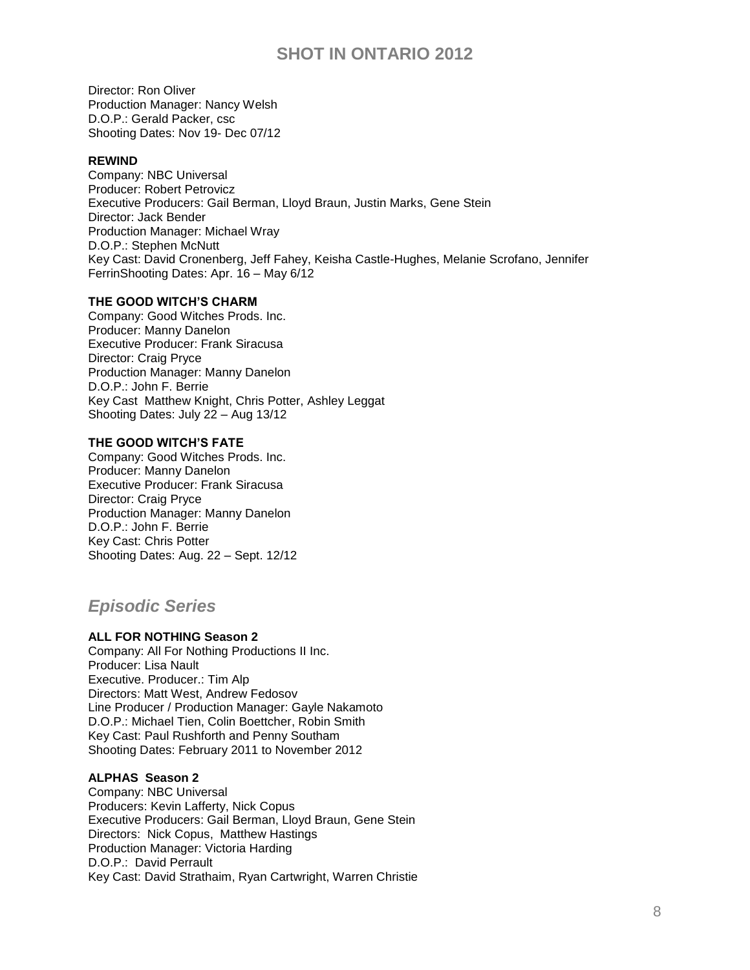Director: Ron Oliver Production Manager: Nancy Welsh D.O.P.: Gerald Packer, csc Shooting Dates: Nov 19- Dec 07/12

### **REWIND**

Company: NBC Universal Producer: Robert Petrovicz Executive Producers: [Gail Berman,](http://pro.imdb.com/name/nm0075762/) [Lloyd Braun,](http://pro.imdb.com/name/nm1569361/) [Justin Marks,](http://pro.imdb.com/name/nm1098479/) Gene Stein Director: Jack Bender Production Manager: Michael Wray D.O.P.: [Stephen McNutt](http://pro.imdb.com/name/nm0002323/) Key Cast: [David Cronenberg,](http://pro.imdb.com/name/nm0000343/) [Jeff Fahey,](http://pro.imdb.com/name/nm0001194/) [Keisha Castle-Hughes,](http://pro.imdb.com/name/nm1095720/) [Melanie Scrofano,](http://pro.imdb.com/name/nm1234276/) [Jennifer](http://pro.imdb.com/name/nm1289484/)  [FerrinS](http://pro.imdb.com/name/nm1289484/)hooting Dates: Apr. 16 – May 6/12

## **THE GOOD WITCH'S CHARM**

Company: Good Witches Prods. Inc. Producer: Manny Danelon Executive Producer: Frank Siracusa Director: Craig Pryce Production Manager: Manny Danelon D.O.P.: John F. Berrie Key Cast Matthew Knight, Chris Potter, Ashley Leggat Shooting Dates: July 22 – Aug 13/12

## **THE GOOD WITCH'S FATE**

Company: Good Witches Prods. Inc. Producer: Manny Danelon Executive Producer: Frank Siracusa Director: Craig Pryce Production Manager: Manny Danelon D.O.P.: John F. Berrie Key Cast: Chris Potter Shooting Dates: Aug. 22 – Sept. 12/12

## *Episodic Series*

## **ALL FOR NOTHING Season 2**

Company: All For Nothing Productions II Inc. Producer: Lisa Nault Executive. Producer.: Tim Alp Directors: Matt West, Andrew Fedosov Line Producer / Production Manager: Gayle Nakamoto D.O.P.: Michael Tien, Colin Boettcher, Robin Smith Key Cast: Paul Rushforth and Penny Southam Shooting Dates: February 2011 to November 2012

### **ALPHAS Season 2**

Company: NBC Universal Producers: Kevin Lafferty, Nick Copus Executive Producers: Gail Berman, Lloyd Braun, Gene Stein Directors: [Nick Copus,](http://pro.imdb.com/name/nm0178944/) [Matthew Hastings](http://pro.imdb.com/name/nm0368602/) Production Manager: Victoria Harding D.O.P.: [David Perrault](http://pro.imdb.com/name/nm0674520/) Key Cast: David Strathaim, Ryan Cartwright, Warren Christie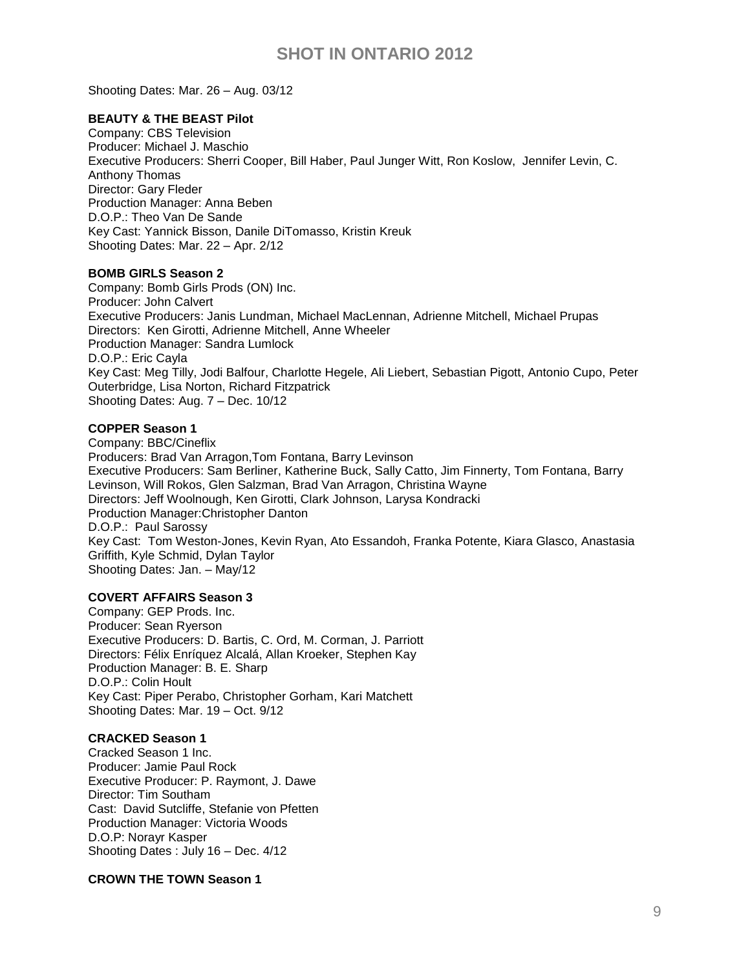Shooting Dates: Mar. 26 – Aug. 03/12

### **BEAUTY & THE BEAST Pilot**

Company: CBS Television Producer: Michael J. Maschio Executive Producers: [Sherri Cooper,](http://pro.imdb.com/name/nm0178381/) [Bill Haber,](http://pro.imdb.com/name/nm1072263/) [Paul Junger Witt,](http://pro.imdb.com/name/nm0432625/) [Ron Koslow,](http://pro.imdb.com/name/nm0467193/) [Jennifer Levin,](http://pro.imdb.com/name/nm0505622/) [C.](http://pro.imdb.com/name/nm4862638/)  [Anthony Thomas](http://pro.imdb.com/name/nm4862638/) Director: Gary Fleder Production Manager: Anna Beben D.O.P.: Theo Van De Sande Key Cast: Yannick Bisson, Danile DiTomasso, [Kristin Kreuk](http://pro.imdb.com/name/nm0471036/) Shooting Dates: Mar. 22 – Apr. 2/12

### **BOMB GIRLS Season 2**

Company: Bomb Girls Prods (ON) Inc. Producer: John Calvert Executive Producers: [Janis Lundman,](http://pro.imdb.com/name/nm0526526/) [Michael MacLennan,](http://pro.imdb.com/name/nm0533853/) [Adrienne Mitchell,](http://pro.imdb.com/name/nm0593097/) [Michael Prupas](http://pro.imdb.com/name/nm0699276/) Directors: [Ken Girotti,](http://pro.imdb.com/name/nm0320987/) [Adrienne Mitchell,](http://pro.imdb.com/name/nm0593097/) [Anne Wheeler](http://pro.imdb.com/name/nm0923768/) Production Manager: Sandra Lumlock D.O.P.: [Eric Cayla](http://pro.imdb.com/name/nm0147292/) Key Cast: [Meg Tilly,](http://pro.imdb.com/name/nm0000672/) [Jodi Balfour,](http://pro.imdb.com/name/nm3341156/) [Charlotte Hegele,](http://pro.imdb.com/name/nm4226301/) [Ali Liebert,](http://pro.imdb.com/name/nm1650932/) [Sebastian Pigott,](http://pro.imdb.com/name/nm2477204/) [Antonio Cupo,](http://pro.imdb.com/name/nm1182955/) [Peter](http://pro.imdb.com/name/nm0653660/)  [Outerbridge,](http://pro.imdb.com/name/nm0653660/) [Lisa Norton,](http://pro.imdb.com/name/nm2572938/) [Richard Fitzpatrick](http://pro.imdb.com/name/nm0280584/) Shooting Dates: Aug. 7 – Dec. 10/12

## **COPPER Season 1**

Company: BBC/Cineflix Producers: Brad Van Arragon,Tom Fontana, Barry Levinson Executive Producers: [Sam Berliner,](http://pro.imdb.com/name/nm5091367/) [Katherine Buck,](http://pro.imdb.com/name/nm2495380/) [Sally Catto,](http://pro.imdb.com/name/nm1762457/) [Jim Finnerty,](http://pro.imdb.com/name/nm0278253/) [Tom Fontana,](http://pro.imdb.com/name/nm0284956/) [Barry](http://pro.imdb.com/name/nm0001469/)  [Levinson,](http://pro.imdb.com/name/nm0001469/) [Will Rokos,](http://pro.imdb.com/name/nm0737993/) [Glen Salzman,](http://pro.imdb.com/name/nm0759568/) [Brad Van Arragon,](http://pro.imdb.com/name/nm0885612/) [Christina Wayne](http://pro.imdb.com/name/nm0915529/) Directors: [Jeff Woolnough,](http://pro.imdb.com/name/nm0941276/) [Ken Girotti,](http://pro.imdb.com/name/nm0320987/) [Clark Johnson,](http://pro.imdb.com/name/nm0424800/) [Larysa Kondracki](http://pro.imdb.com/name/nm2326979/) Production Manager:Christopher Danton D.O.P.: [Paul Sarossy](http://pro.imdb.com/name/nm0765477/) Key Cast: [Tom Weston-Jones,](http://pro.imdb.com/name/nm4534594/) [Kevin Ryan,](http://pro.imdb.com/name/nm2397459/) [Ato Essandoh,](http://pro.imdb.com/name/nm1017951/) [Franka Potente,](http://pro.imdb.com/name/nm0004376/) [Kiara Glasco,](http://pro.imdb.com/name/nm4825013/) [Anastasia](http://pro.imdb.com/name/nm1473013/)  [Griffith,](http://pro.imdb.com/name/nm1473013/) [Kyle Schmid,](http://pro.imdb.com/name/nm0772704/) [Dylan Taylor](http://pro.imdb.com/name/nm1792091/) Shooting Dates: Jan. – May/12

### **COVERT AFFAIRS Season 3**

Company: GEP Prods. Inc. Producer: Sean Ryerson Executive Producers: D. Bartis, C. Ord, M. Corman, J. Parriott Directors: [Félix Enríquez Alcalá,](http://www.imdb.com/name/nm0258066/) [Allan Kroeker,](http://www.imdb.com/name/nm0471862/) [Stephen Kay](http://www.imdb.com/name/nm0443181/) Production Manager: B. E. Sharp D.O.P.: [Colin Hoult](http://www.imdb.com/name/nm0002415/) Key Cast: [Piper Perabo,](http://www.imdb.com/name/nm0005305/) [Christopher Gorham,](http://www.imdb.com/name/nm0330913/) [Kari Matchett](http://www.imdb.com/name/nm0558182/) Shooting Dates: Mar. 19 – Oct. 9/12

### **CRACKED Season 1**

Cracked Season 1 Inc. Producer: Jamie Paul Rock Executive Producer: P. Raymont, J. Dawe Director: Tim Southam Cast: [David Sutcliffe,](http://pro.imdb.com/name/nm0005475/) [Stefanie von Pfetten](http://pro.imdb.com/name/nm0902807/) Production Manager: Victoria Woods D.O.P: Norayr Kasper Shooting Dates : July 16 – Dec. 4/12

### **CROWN THE TOWN Season 1**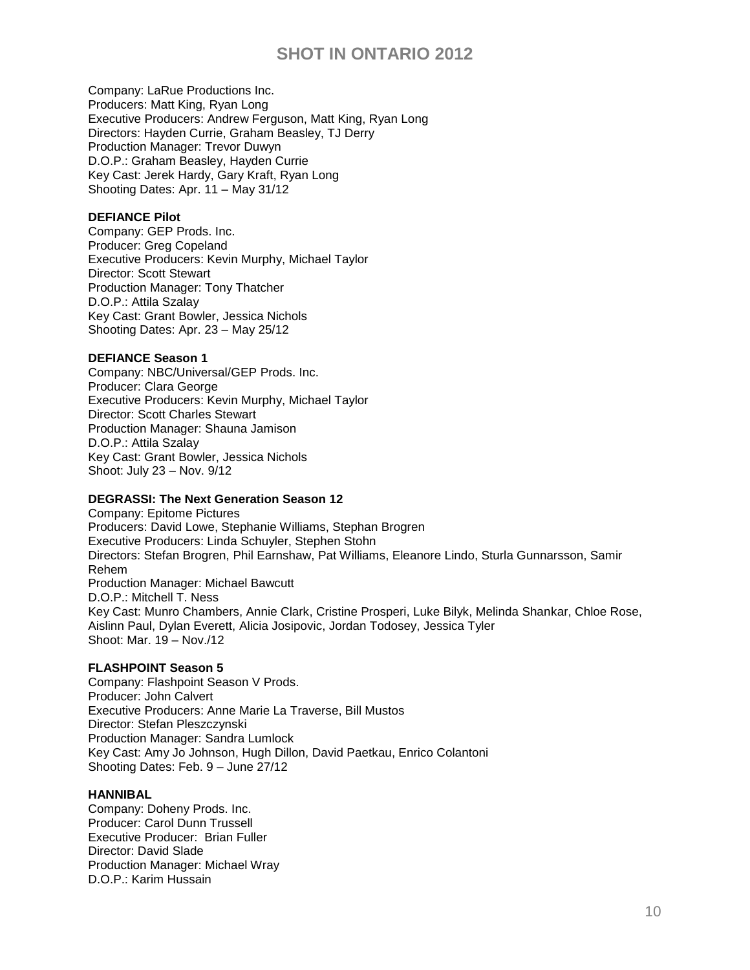Company: LaRue Productions Inc. Producers: Matt King, Ryan Long Executive Producers: Andrew Ferguson, Matt King, Ryan Long Directors: Hayden Currie, Graham Beasley, TJ Derry Production Manager: Trevor Duwyn D.O.P.: [Graham Beasley,](http://pro.imdb.com/name/nm3854428/) [Hayden Currie](http://pro.imdb.com/name/nm4580232/) Key Cast: Jerek Hardy, Gary Kraft, Ryan Long Shooting Dates: Apr. 11 – May 31/12

## **DEFIANCE Pilot**

Company: GEP Prods. Inc. Producer: Greg Copeland Executive Producers: Kevin Murphy, Michael Taylor Director: Scott Stewart Production Manager: Tony Thatcher D.O.P.: [Attila Szalay](http://pro.imdb.com/name/nm0004360/) Key Cast: Grant Bowler, Jessica Nichols Shooting Dates: Apr. 23 – May 25/12

## **DEFIANCE Season 1**

Company: NBC/Universal/GEP Prods. Inc. Producer: Clara George Executive Producers: Kevin Murphy, Michael Taylor Director: [Scott Charles Stewart](http://pro.imdb.com/name/nm0829820/) Production Manager: Shauna Jamison D.O.P.: [Attila Szalay](http://pro.imdb.com/name/nm0004360/) Key Cast: Grant Bowler, Jessica Nichols Shoot: July 23 – Nov. 9/12

## **DEGRASSI: The Next Generation Season 12**

Company: Epitome Pictures Producers: David Lowe, Stephanie Williams, Stephan Brogren Executive Producers: Linda Schuyler, Stephen Stohn Directors: Stefan Brogren, Phil Earnshaw, Pat Williams, Eleanore Lindo, Sturla Gunnarsson, Samir Rehem Production Manager: Michael Bawcutt D.O.P.: Mitchell T. Ness Key Cast: Munro Chambers, Annie Clark, Cristine Prosperi, Luke Bilyk, Melinda Shankar, Chloe Rose, Aislinn Paul, Dylan Everett, Alicia Josipovic, Jordan Todosey, Jessica Tyler Shoot: Mar. 19 – Nov./12

## **FLASHPOINT Season 5**

Company: Flashpoint Season V Prods. Producer: John Calvert Executive Producers: Anne Marie La Traverse, Bill Mustos Director: [Stefan Pleszczynski](http://pro.imdb.com/name/nm0687238/) Production Manager: Sandra Lumlock Key Cast: [Amy Jo Johnson,](http://www.imdb.com/name/nm0005057/) [Hugh Dillon,](http://www.imdb.com/name/nm0227003/) [David Paetkau,](http://www.imdb.com/name/nm0655959/) [Enrico Colantoni](http://www.imdb.com/name/nm0170186/) Shooting Dates: Feb. 9 – June 27/12

### **HANNIBAL**

Company: Doheny Prods. Inc. Producer: Carol Dunn Trussell Executive Producer: Brian Fuller Director: David Slade Production Manager: Michael Wray D.O.P.: [Karim Hussain](http://www.imdb.com/name/nm0403963/)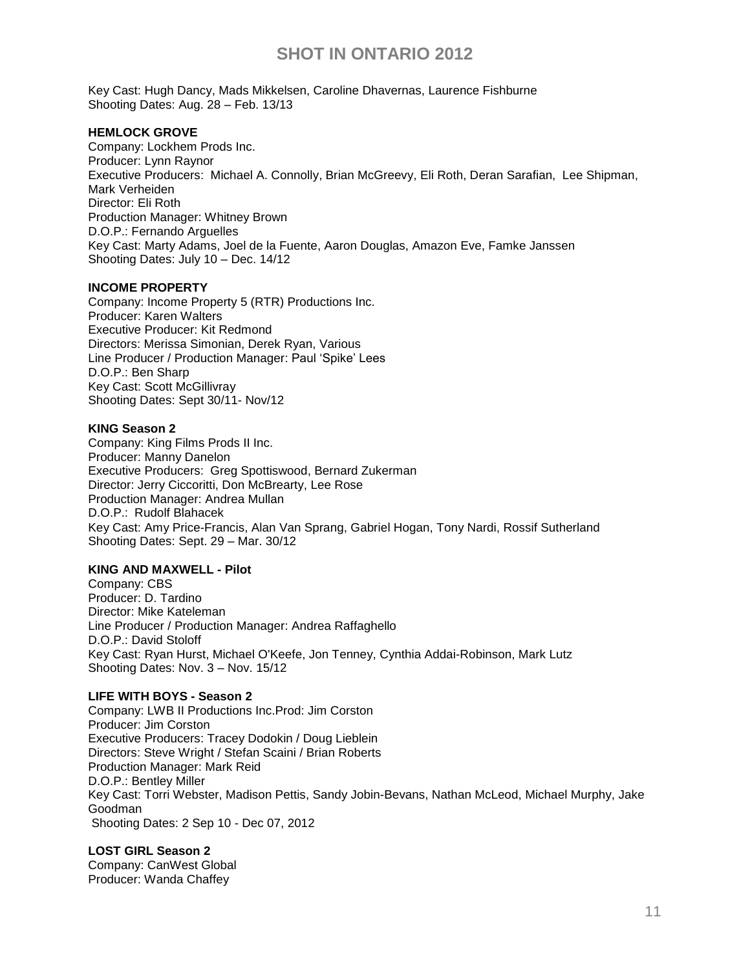Key Cast: [Hugh Dancy,](http://www.imdb.com/name/nm0199215/) [Mads Mikkelsen,](http://www.imdb.com/name/nm0586568/) [Caroline Dhavernas,](http://www.imdb.com/name/nm0223518/) Laurence Fishburne Shooting Dates: Aug. 28 – Feb. 13/13

### **HEMLOCK GROVE**

Company: Lockhem Prods Inc. Producer: Lynn Raynor Executive Producers: [Michael A. Connolly,](http://pro.imdb.com/name/nm0175326/) [Brian McGreevy,](http://pro.imdb.com/name/nm2992029/) [Eli Roth,](http://pro.imdb.com/name/nm0744834/) [Deran Sarafian,](http://pro.imdb.com/name/nm0764776/) [Lee Shipman,](http://pro.imdb.com/name/nm0794106/) [Mark Verheiden](http://pro.imdb.com/name/nm0894156/) Director: Eli Roth Production Manager: Whitney Brown D.O.P.: Fernando Arguelles Key Cast: Marty Adams, [Joel de la Fuente,](http://pro.imdb.com/name/nm0209249/) [Aaron Douglas,](http://pro.imdb.com/name/nm0234928/) [Amazon Eve,](http://pro.imdb.com/name/nm4425355/) [Famke Janssen](http://pro.imdb.com/name/nm0000463/) Shooting Dates: July 10 – Dec. 14/12

### **INCOME PROPERTY**

Company: Income Property 5 (RTR) Productions Inc. Producer: Karen Walters Executive Producer: Kit Redmond Directors: Merissa Simonian, Derek Ryan, Various Line Producer / Production Manager: Paul 'Spike' Lees D.O.P.: Ben Sharp Key Cast: Scott McGillivray Shooting Dates: Sept 30/11- Nov/12

### **KING Season 2**

Company: King Films Prods II Inc. Producer: Manny Danelon Executive Producers: [Greg Spottiswood,](http://pro.imdb.com/name/nm0819494/) Bernard Zukerman Director: [Jerry Ciccoritti,](http://pro.imdb.com/name/nm0162013/) [Don McBrearty,](http://pro.imdb.com/name/nm0564260/) [Lee Rose](http://pro.imdb.com/name/nm0003022/) Production Manager: Andrea Mullan D.O.P.: [Rudolf Blahacek](http://pro.imdb.com/name/nm0086085/) Key Cast: [Amy Price-Francis,](http://pro.imdb.com/name/nm0697201/) [Alan Van Sprang,](http://pro.imdb.com/name/nm0888022/) [Gabriel Hogan,](http://pro.imdb.com/name/nm0389527/) [Tony Nardi,](http://pro.imdb.com/name/nm0621348/) [Rossif Sutherland](http://pro.imdb.com/name/nm1160472/) Shooting Dates: Sept. 29 – Mar. 30/12

### **KING AND MAXWELL - Pilot**

Company: CBS Producer: D. Tardino Director: Mike Kateleman Line Producer / Production Manager: Andrea Raffaghello D.O.P.: David Stoloff Key Cast: [Ryan Hurst,](http://pro.imdb.com/name/nm0403652/) [Michael O'Keefe,](http://pro.imdb.com/name/nm0001574/) [Jon Tenney,](http://pro.imdb.com/name/nm0855103/) [Cynthia Addai-Robinson,](http://pro.imdb.com/name/nm1870963/) [Mark Lutz](http://pro.imdb.com/name/nm0527592/) Shooting Dates: Nov. 3 – Nov. 15/12

### **LIFE WITH BOYS - Season 2**

Company: LWB II Productions Inc.Prod: Jim Corston Producer: Jim Corston Executive Producers: Tracey Dodokin / Doug Lieblein Directors: Steve Wright / Stefan Scaini / Brian Roberts Production Manager: Mark Reid D.O.P.: Bentley Miller Key Cast: Torri Webster, Madison Pettis, Sandy Jobin-Bevans, Nathan McLeod, Michael Murphy, Jake Goodman Shooting Dates: 2 Sep 10 - Dec 07, 2012

#### **LOST GIRL Season 2** Company: CanWest Global Producer: Wanda Chaffey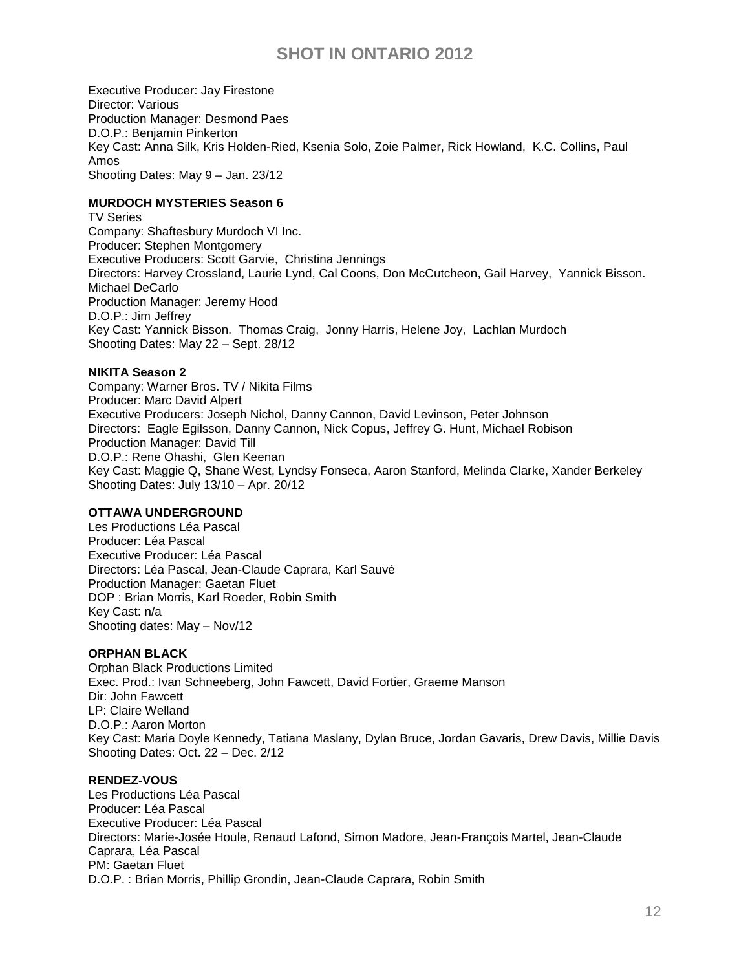Executive Producer: Jay Firestone Director: Various Production Manager: Desmond Paes D.O.P.: [Benjamin Pinkerton](http://pro.imdb.com/name/nm3994904/) Key Cast: [Anna Silk,](http://pro.imdb.com/name/nm0798014/) [Kris Holden-Ried,](http://pro.imdb.com/name/nm0390285/) [Ksenia Solo,](http://pro.imdb.com/name/nm0989959/) [Zoie Palmer,](http://pro.imdb.com/name/nm1235776/) [Rick Howland,](http://pro.imdb.com/name/nm0398205/) K.C. [Collins,](http://pro.imdb.com/name/nm0172220/) [Paul](http://pro.imdb.com/name/nm1620443/)  [Amos](http://pro.imdb.com/name/nm1620443/) Shooting Dates: May 9 – Jan. 23/12

## **MURDOCH MYSTERIES Season 6**

TV Series Company: Shaftesbury Murdoch VI Inc. Producer: Stephen Montgomery Executive Producers: [Scott Garvie,](http://pro.imdb.com/name/nm0308792/) [Christina Jennings](http://pro.imdb.com/name/nm0421126/) Directors: [Harvey Crossland,](http://pro.imdb.com/name/nm0189327/) [Laurie Lynd,](http://pro.imdb.com/name/nm0528508/) [Cal Coons,](http://pro.imdb.com/name/nm1779939/) [Don McCutcheon,](http://pro.imdb.com/name/nm0567345/) [Gail Harvey,](http://pro.imdb.com/name/nm0367523/) [Yannick Bisson.](http://pro.imdb.com/name/nm0084370/) [Michael DeCarlo](http://pro.imdb.com/name/nm0213649/) Production Manager: Jeremy Hood D.O.P.: [Jim Jeffrey](http://pro.imdb.com/name/nm0420296/) Key Cast: [Yannick Bisson.](http://pro.imdb.com/name/nm0084370/) [Thomas Craig,](http://pro.imdb.com/name/nm0186030/) [Jonny Harris,](http://pro.imdb.com/name/nm1649782/) [Helene Joy,](http://pro.imdb.com/name/nm0431420/) [Lachlan Murdoch](http://pro.imdb.com/name/nm0613763/) Shooting Dates: May 22 – Sept. 28/12

## **NIKITA Season 2**

Company: Warner Bros. TV / Nikita Films Producer: Marc David Alpert Executive Producers: Joseph Nichol, Danny Cannon, David Levinson, Peter Johnson Directors: [Eagle Egilsson,](http://pro.imdb.com/name/nm0251032/) [Danny Cannon,](http://pro.imdb.com/name/nm0134176/) [Nick Copus,](http://pro.imdb.com/name/nm0178944/) [Jeffrey G. Hunt,](http://pro.imdb.com/name/nm0402493/) [Michael Robison](http://pro.imdb.com/name/nm0733227/) Production Manager: David Till D.O.P.: [Rene Ohashi,](http://pro.imdb.com/name/nm0644964/) [Glen Keenan](http://pro.imdb.com/name/nm0444643/) Key Cast: [Maggie Q,](http://pro.imdb.com/name/nm0702572/) [Shane West,](http://pro.imdb.com/name/nm0922342/) [Lyndsy Fonseca,](http://pro.imdb.com/name/nm0960912/) [Aaron Stanford,](http://pro.imdb.com/name/nm0822155/) [Melinda Clarke,](http://pro.imdb.com/name/nm0164918/) [Xander Berkeley](http://pro.imdb.com/name/nm0075359/)  Shooting Dates: July 13/10 – Apr. 20/12

### **OTTAWA UNDERGROUND**

Les Productions Léa Pascal Producer: Léa Pascal Executive Producer: Léa Pascal Directors: Léa Pascal, Jean-Claude Caprara, Karl Sauvé Production Manager: Gaetan Fluet DOP : Brian Morris, Karl Roeder, Robin Smith Key Cast: n/a Shooting dates: May – Nov/12

### **ORPHAN BLACK**

Orphan Black Productions Limited Exec. Prod.: Ivan Schneeberg, John Fawcett, David Fortier, Graeme Manson Dir: John Fawcett LP: Claire Welland D.O.P.: Aaron Morton Key Cast: [Maria Doyle Kennedy,](http://pro.imdb.com/name/nm0448204/) [Tatiana Maslany,](http://pro.imdb.com/name/nm1137209/) [Dylan Bruce,](http://pro.imdb.com/name/nm1851313/) [Jordan Gavaris,](http://pro.imdb.com/name/nm2849998/) [Drew Davis,](http://pro.imdb.com/name/nm3883778/) [Millie](http://pro.imdb.com/name/nm4438246/) Davis Shooting Dates: Oct. 22 – Dec. 2/12

### **RENDEZ-VOUS**

Les Productions Léa Pascal Producer: Léa Pascal Executive Producer: Léa Pascal Directors: Marie-Josée Houle, Renaud Lafond, Simon Madore, Jean-François Martel, Jean-Claude Caprara, Léa Pascal PM: Gaetan Fluet D.O.P. : Brian Morris, Phillip Grondin, Jean-Claude Caprara, Robin Smith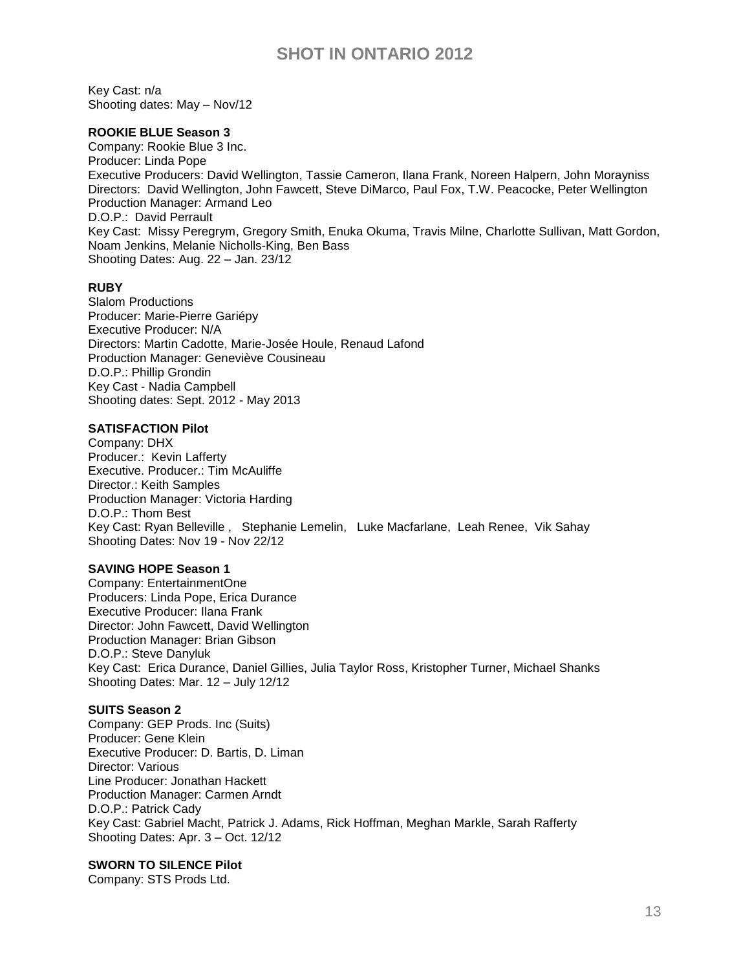Key Cast: n/a Shooting dates: May – Nov/12

#### **ROOKIE BLUE Season 3**

Company: Rookie Blue 3 Inc. Producer: Linda Pope Executive Producers: [David Wellington,](http://pro.imdb.com/name/nm0920001/) [Tassie Cameron,](http://pro.imdb.com/name/nm1017117/) [Ilana Frank,](http://pro.imdb.com/name/nm0290957/) [Noreen Halpern,](http://pro.imdb.com/name/nm0356957/) [John Morayniss](http://pro.imdb.com/name/nm0603216/) Directors: [David Wellington,](http://pro.imdb.com/name/nm0920001/) [John Fawcett,](http://pro.imdb.com/name/nm0269502/) [Steve DiMarco,](http://pro.imdb.com/name/nm0227192/) [Paul Fox,](http://pro.imdb.com/name/nm0289186/) [T.W. Peacocke,](http://pro.imdb.com/name/nm0668814/) [Peter Wellington](http://pro.imdb.com/name/nm0920017/) Production Manager: Armand Leo D.O.P.: [David Perrault](http://pro.imdb.com/name/nm0674520/) Key Cast: [Missy Peregrym,](http://pro.imdb.com/name/nm1335291/) [Gregory Smith,](http://pro.imdb.com/name/nm0808376/) [Enuka Okuma,](http://pro.imdb.com/name/nm0645781/) [Travis Milne,](http://pro.imdb.com/name/nm2691819/) [Charlotte Sullivan,](http://pro.imdb.com/name/nm0838000/) [Matt Gordon,](http://pro.imdb.com/name/nm0330438/) [Noam Jenkins,](http://pro.imdb.com/name/nm0420937/) [Melanie Nicholls-King,](http://pro.imdb.com/name/nm0629517/) [Ben Bass](http://pro.imdb.com/name/nm0060029/) Shooting Dates: Aug. 22 – Jan. 23/12

#### **RUBY**

Slalom Productions Producer: Marie-Pierre Gariépy Executive Producer: N/A Directors: Martin Cadotte, Marie-Josée Houle, Renaud Lafond Production Manager: Geneviève Cousineau D.O.P.: Phillip Grondin Key Cast - Nadia Campbell Shooting dates: Sept. 2012 - May 2013

#### **SATISFACTION Pilot**

Company: DHX Producer.: Kevin Lafferty Executive. Producer.: Tim McAuliffe Director.: Keith Samples Production Manager: Victoria Harding D.O.P.: Thom Best Key Cast: [Ryan Belleville](http://pro.imdb.com/name/nm1108472/) , [Stephanie Lemelin,](http://pro.imdb.com/name/nm1107254/) [Luke Macfarlane,](http://pro.imdb.com/name/nm1682832/) [Leah Renee,](http://pro.imdb.com/name/nm1065012/) [Vik Sahay](http://pro.imdb.com/name/nm0006710/) Shooting Dates: Nov 19 - Nov 22/12

## **SAVING HOPE Season 1**

Company: EntertainmentOne Producers: Linda Pope, Erica Durance Executive Producer: Ilana Frank Director: [John Fawcett,](http://pro.imdb.com/name/nm0269502/) [David Wellington](http://pro.imdb.com/name/nm0920001/) Production Manager: Brian Gibson D.O.P.: [Steve Danyluk](http://pro.imdb.com/name/nm0200718/) Key Cast: [Erica Durance,](http://pro.imdb.com/name/nm1570568/) [Daniel Gillies,](http://pro.imdb.com/name/nm0319171/) [Julia Taylor Ross,](http://pro.imdb.com/name/nm3631803/) [Kristopher Turner,](http://pro.imdb.com/name/nm1197529/) [Michael Shanks](http://pro.imdb.com/name/nm0788218/) Shooting Dates: Mar. 12 – July 12/12

#### **SUITS Season 2**

Company: GEP Prods. Inc (Suits) Producer: Gene Klein Executive Producer: D. Bartis, D. Liman Director: Various Line Producer: Jonathan Hackett Production Manager: Carmen Arndt D.O.P.: [Patrick Cady](http://pro.imdb.com/name/nm0128337/) Key Cast: [Gabriel Macht,](http://pro.imdb.com/name/nm0532683/) [Patrick J. Adams,](http://pro.imdb.com/name/nm1140666/) [Rick Hoffman,](http://pro.imdb.com/name/nm0389069/) [Meghan Markle,](http://pro.imdb.com/name/nm1620783/) [Sarah Rafferty](http://pro.imdb.com/name/nm1423048/) Shooting Dates: Apr. 3 – Oct. 12/12

#### **SWORN TO SILENCE Pilot**

Company: STS Prods Ltd.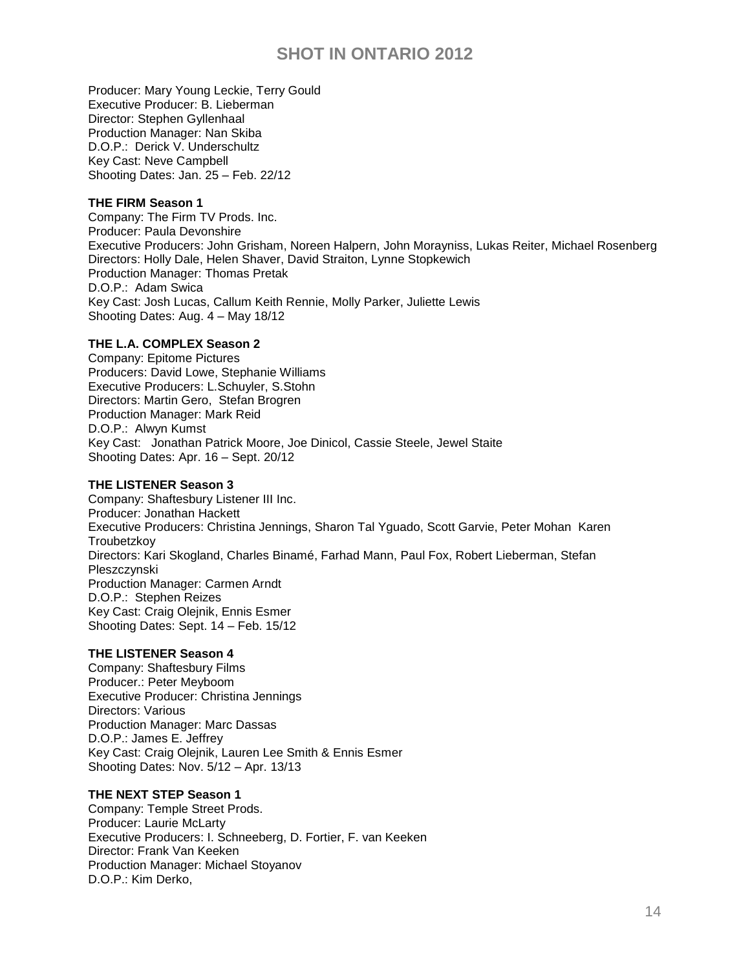Producer: Mary Young Leckie, Terry Gould Executive Producer: B. Lieberman Director: Stephen Gyllenhaal Production Manager: Nan Skiba D.O.P.: [Derick V. Underschultz](http://pro.imdb.com/name/nm0880979/) Key Cast: Neve Campbell Shooting Dates: Jan. 25 – Feb. 22/12

### **THE FIRM Season 1**

Company: The Firm TV Prods. Inc. Producer: Paula Devonshire Executive Producers: John Grisham, Noreen Halpern, [John Morayniss,](http://pro.imdb.com/name/nm0603216/) Lukas Reiter, Michael Rosenberg Directors: [Holly Dale,](http://pro.imdb.com/name/nm0197700/) [Helen Shaver,](http://pro.imdb.com/name/nm0001726/) [David Straiton,](http://pro.imdb.com/name/nm0833191/) [Lynne Stopkewich](http://pro.imdb.com/name/nm0832369/) Production Manager: Thomas Pretak D.O.P.: [Adam Swica](http://pro.imdb.com/name/nm0842514/) Key Cast: [Josh Lucas,](http://pro.imdb.com/name/nm0524197/) [Callum Keith Rennie,](http://pro.imdb.com/name/nm0719678/) [Molly Parker,](http://pro.imdb.com/name/nm0662504/) [Juliette Lewis](http://pro.imdb.com/name/nm0000496/) Shooting Dates: Aug. 4 – May 18/12

## **THE L.A. COMPLEX Season 2**

Company: Epitome Pictures Producers: David Lowe, Stephanie Williams Executive Producers: L.Schuyler, S.Stohn Directors: [Martin Gero,](http://pro.imdb.com/name/nm1236625/) [Stefan Brogren](http://pro.imdb.com/name/nm0111197/) Production Manager: Mark Reid D.O.P.: [Alwyn Kumst](http://pro.imdb.com/name/nm0475031/) Key Cast: [Jonathan Patrick Moore,](http://pro.imdb.com/name/nm1485069/) [Joe Dinicol,](http://pro.imdb.com/name/nm0227710/) [Cassie Steele,](http://pro.imdb.com/name/nm1012247/) [Jewel Staite](http://pro.imdb.com/name/nm0821612/) Shooting Dates: Apr. 16 – Sept. 20/12

#### **THE LISTENER Season 3**

Company: Shaftesbury Listener III Inc. Producer: Jonathan Hackett Executive Producers: [Christina Jennings,](http://pro.imdb.com/name/nm0421126/) [Sharon Tal Yguado,](http://pro.imdb.com/name/nm3358634/) [Scott Garvie,](http://pro.imdb.com/name/nm0308792/) [Peter Mohan](http://pro.imdb.com/name/nm0595913/) [Karen](http://pro.imdb.com/name/nm0873727/)  **Troubetzkov** Directors: [Kari Skogland,](http://pro.imdb.com/name/nm0804556/) [Charles Binamé,](http://pro.imdb.com/name/nm0082748/) [Farhad Mann,](http://pro.imdb.com/name/nm0542752/) [Paul Fox,](http://pro.imdb.com/name/nm0289186/) [Robert Lieberman,](http://pro.imdb.com/name/nm0509409/) [Stefan](http://pro.imdb.com/name/nm0687238/)  [Pleszczynski](http://pro.imdb.com/name/nm0687238/) Production Manager: Carmen Arndt D.O.P.: [Stephen Reizes](http://pro.imdb.com/name/nm0718716/) Key Cast: [Craig Olejnik,](http://pro.imdb.com/name/nm0646241/) [Ennis Esmer](http://pro.imdb.com/name/nm1338828/) Shooting Dates: Sept. 14 – Feb. 15/12

### **THE LISTENER Season 4**

Company: Shaftesbury Films Producer.: Peter Meyboom Executive Producer: [Christina Jennings](http://pro.imdb.com/name/nm0421126/) Directors: Various Production Manager: Marc Dassas D.O.P.: James E. Jeffrey Key Cast: Craig Olejnik, Lauren Lee Smith & Ennis Esmer Shooting Dates: Nov. 5/12 – Apr. 13/13

## **THE NEXT STEP Season 1**

Company: Temple Street Prods. Producer: Laurie McLarty Executive Producers: I. Schneeberg, D. Fortier, F. van Keeken Director: Frank Van Keeken Production Manager: Michael Stoyanov D.O.P.: Kim Derko,